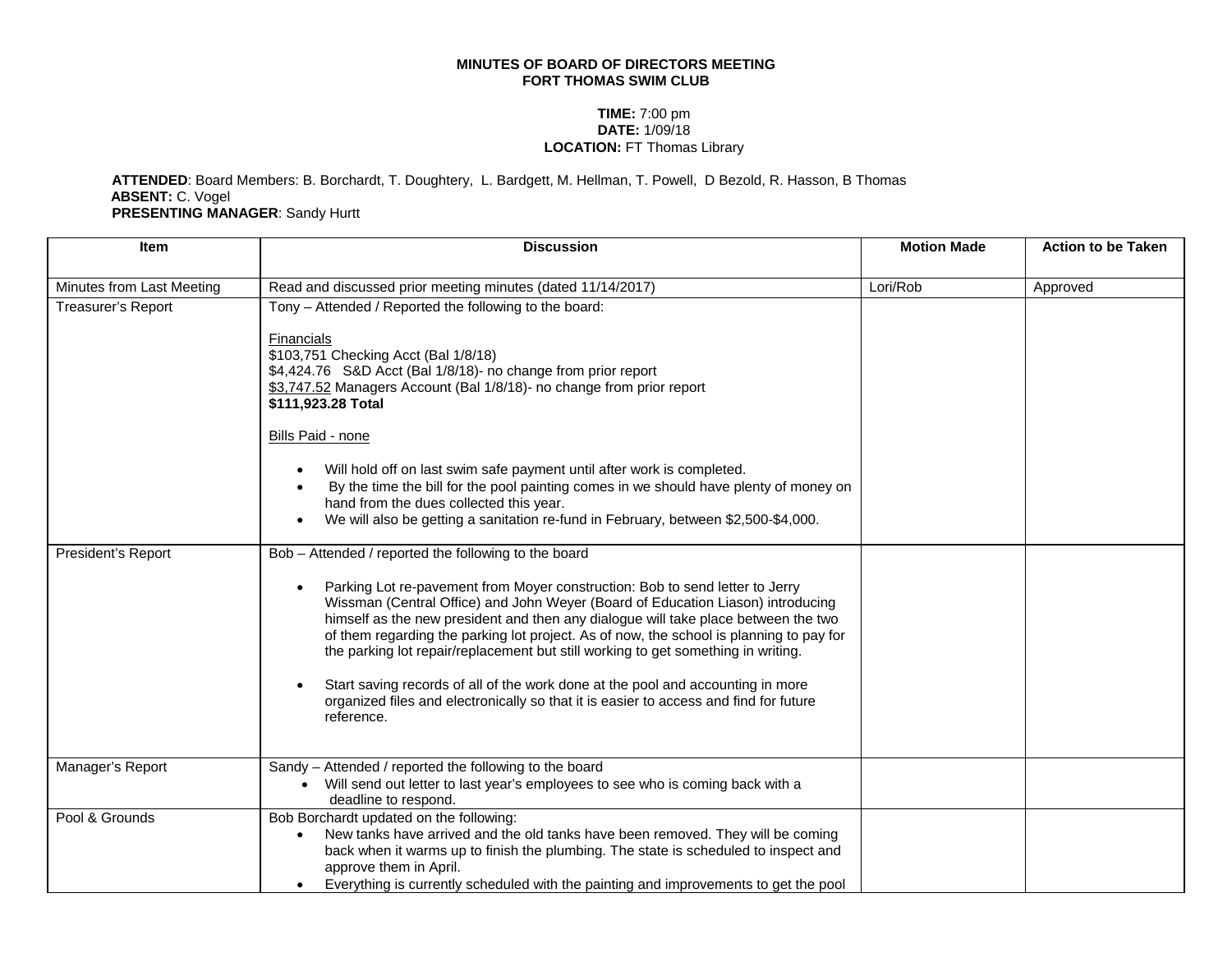## **MINUTES OF BOARD OF DIRECTORS MEETING FORT THOMAS SWIM CLUB**

## **TIME:** 7:00 pm **DATE:** 1/09/18 **LOCATION:** FT Thomas Library

## **ATTENDED**: Board Members: B. Borchardt, T. Doughtery, L. Bardgett, M. Hellman, T. Powell, D Bezold, R. Hasson, B Thomas **ABSENT:** C. Vogel **PRESENTING MANAGER**: Sandy Hurtt

| <b>Item</b>               | <b>Discussion</b>                                                                                                                                                                                                                                                                                                                                                                                                                                                                                                                                                                                                                                                                       | <b>Motion Made</b> | <b>Action to be Taken</b> |
|---------------------------|-----------------------------------------------------------------------------------------------------------------------------------------------------------------------------------------------------------------------------------------------------------------------------------------------------------------------------------------------------------------------------------------------------------------------------------------------------------------------------------------------------------------------------------------------------------------------------------------------------------------------------------------------------------------------------------------|--------------------|---------------------------|
| Minutes from Last Meeting | Read and discussed prior meeting minutes (dated 11/14/2017)                                                                                                                                                                                                                                                                                                                                                                                                                                                                                                                                                                                                                             | Lori/Rob           | Approved                  |
| <b>Treasurer's Report</b> | Tony - Attended / Reported the following to the board:<br>Financials<br>\$103,751 Checking Acct (Bal 1/8/18)<br>\$4,424.76 S&D Acct (Bal 1/8/18)- no change from prior report<br>\$3,747.52 Managers Account (Bal 1/8/18)- no change from prior report<br>\$111,923.28 Total<br><b>Bills Paid - none</b><br>Will hold off on last swim safe payment until after work is completed.<br>By the time the bill for the pool painting comes in we should have plenty of money on<br>hand from the dues collected this year.<br>We will also be getting a sanitation re-fund in February, between \$2,500-\$4,000.<br>$\bullet$                                                               |                    |                           |
| President's Report        | Bob - Attended / reported the following to the board<br>Parking Lot re-pavement from Moyer construction: Bob to send letter to Jerry<br>Wissman (Central Office) and John Weyer (Board of Education Liason) introducing<br>himself as the new president and then any dialogue will take place between the two<br>of them regarding the parking lot project. As of now, the school is planning to pay for<br>the parking lot repair/replacement but still working to get something in writing.<br>Start saving records of all of the work done at the pool and accounting in more<br>organized files and electronically so that it is easier to access and find for future<br>reference. |                    |                           |
| Manager's Report          | Sandy - Attended / reported the following to the board<br>Will send out letter to last year's employees to see who is coming back with a<br>deadline to respond.                                                                                                                                                                                                                                                                                                                                                                                                                                                                                                                        |                    |                           |
| Pool & Grounds            | Bob Borchardt updated on the following:<br>New tanks have arrived and the old tanks have been removed. They will be coming<br>back when it warms up to finish the plumbing. The state is scheduled to inspect and<br>approve them in April.<br>Everything is currently scheduled with the painting and improvements to get the pool                                                                                                                                                                                                                                                                                                                                                     |                    |                           |